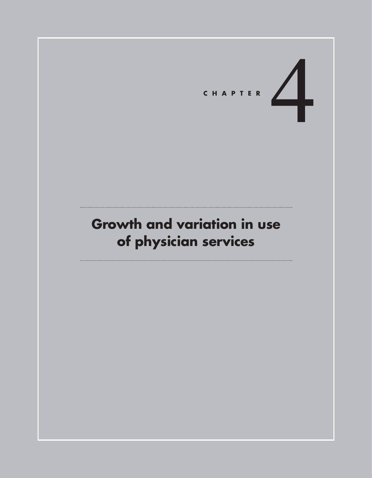# CHAPTER

# **Growth and variation in use of physician services**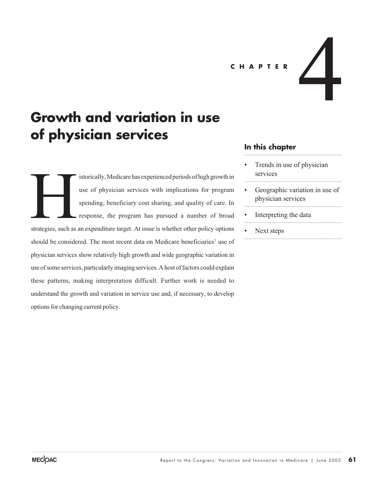CHAPTER<br> **APTER** 

# **Growth and variation in use of physician services**

istorically, Medicare has experienced periods of high growth in use of physician services with implications for program spending, beneficiary cost sharing, and quality of care. In response, the program has pursued a number of broad strategies, such as an expenditure target. At issue is whether other policy options should be considered. The most recent data on Medicare beneficiaries' use of physician services show relatively high growth and wide geographic variation in use of some services, particularly imaging services. A host of factors could explain these patterns, making interpretation difficult. Further work is needed to understand the growth and variation in service use and, if necessary, to develop options for changing current policy. Strategies, such as

#### **In this chapter**

- Trends in use of physician services
- Geographic variation in use of physician services
- Interpreting the data
- Next steps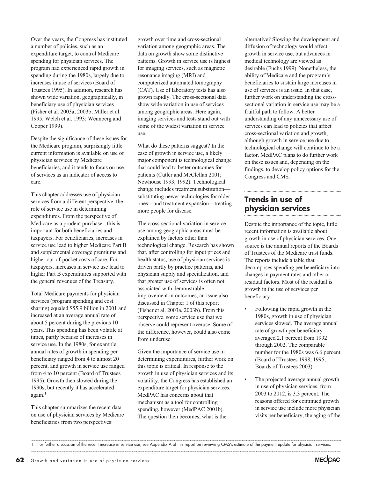Over the years, the Congress has instituted a number of policies, such as an expenditure target, to control Medicare spending for physician services. The program had experienced rapid growth in spending during the 1980s, largely due to increases in use of services (Board of Trustees 1995). In addition, research has shown wide variation, geographically, in beneficiary use of physician services (Fisher et al. 2003a, 2003b; Miller et al. 1995; Welch et al. 1993; Wennberg and Cooper 1999).

Despite the significance of these issues for the Medicare program, surprisingly little current information is available on use of physician services by Medicare beneficiaries, and it tends to focus on use of services as an indicator of access to care.

This chapter addresses use of physician services from a different perspective: the role of service use in determining expenditures. From the perspective of Medicare as a prudent purchaser, this is important for both beneficiaries and taxpayers. For beneficiaries, increases in service use lead to higher Medicare Part B and supplemental coverage premiums and higher out-of-pocket costs of care. For taxpayers, increases in service use lead to higher Part B expenditures supported with the general revenues of the Treasury.

Total Medicare payments for physician services (program spending and cost sharing) equaled \$55.9 billion in 2001 and increased at an average annual rate of about 5 percent during the previous 10 years. This spending has been volatile at times, partly because of increases in service use. In the 1980s, for example, annual rates of growth in spending per beneficiary ranged from 4 to almost 20 percent, and growth in service use ranged from 4 to 10 percent (Board of Trustees 1995). Growth then slowed during the 1990s, but recently it has accelerated  $a$ gain.<sup>1</sup>

This chapter summarizes the recent data on use of physician services by Medicare beneficiaries from two perspectives:

growth over time and cross-sectional variation among geographic areas. The data on growth show some distinctive patterns. Growth in service use is highest for imaging services, such as magnetic resonance imaging (MRI) and computerized automated tomography (CAT). Use of laboratory tests has also grown rapidly. The cross-sectional data show wide variation in use of services among geographic areas. Here again, imaging services and tests stand out with some of the widest variation in service use.

What do these patterns suggest? In the case of growth in service use, a likely major component is technological change that could lead to better outcomes for patients (Cutler and McClellan 2001; Newhouse 1993, 1992). Technological change includes treatment substitution substituting newer technologies for older ones—and treatment expansion—treating more people for disease.

The cross-sectional variation in service use among geographic areas must be explained by factors other than technological change. Research has shown that, after controlling for input prices and health status, use of physician services is driven partly by practice patterns, and physician supply and specialization, and that greater use of services is often not associated with demonstrable improvement in outcomes, an issue also discussed in Chapter 1 of this report (Fisher et al. 2003a, 2003b). From this perspective, some service use that we observe could represent overuse. Some of the difference, however, could also come from underuse.

Given the importance of service use in determining expenditures, further work on this topic is critical. In response to the growth in use of physician services and its volatility, the Congress has established an expenditure target for physician services. MedPAC has concerns about that mechanism as a tool for controlling spending, however (MedPAC 2001b). The question then becomes, what is the

alternative? Slowing the development and diffusion of technology would affect growth in service use, but advances in medical technology are viewed as desirable (Fuchs 1999). Nonetheless, the ability of Medicare and the program's beneficiaries to sustain large increases in use of services is an issue. In that case, further work on understanding the crosssectional variation in service use may be a fruitful path to follow. A better understanding of any unnecessary use of services can lead to policies that affect cross-sectional variation and growth, although growth in service use due to technological change will continue to be a factor. MedPAC plans to do further work on these issues and, depending on the findings, to develop policy options for the Congress and CMS.

## **Trends in use of physician services**

Despite the importance of the topic, little recent information is available about growth in use of physician services. One source is the annual reports of the Boards of Trustees of the Medicare trust funds. The reports include a table that decomposes spending per beneficiary into changes in payment rates and other or residual factors. Most of the residual is growth in the use of services per beneficiary.

- Following the rapid growth in the 1980s, growth in use of physician services slowed. The average annual rate of growth per beneficiary averaged 2.1 percent from 1992 through 2002. The comparable number for the 1980s was 6.6 percent (Board of Trustees 1998, 1995; Boards of Trustees 2003).
- The projected average annual growth in use of physician services, from 2003 to 2012, is 3.3 percent. The reasons offered for continued growth in service use include more physician visits per beneficiary, the aging of the



<sup>1</sup> For further discussion of the recent increase in service use, see Appendix A of this report on reviewing CMS's estimate of the payment update for physician services.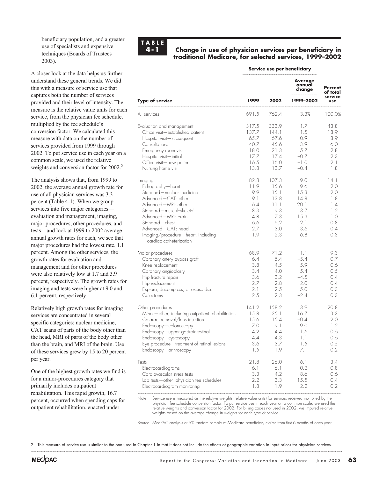beneficiary population, and a greater use of specialists and expensive techniques (Boards of Trustees 2003).

A closer look at the data helps us further understand these general trends. We did this with a measure of service use that captures both the number of services provided and their level of intensity. The measure is the relative value units for each service, from the physician fee schedule, multiplied by the fee schedule's conversion factor. We calculated this measure with data on the number of services provided from 1999 through 2002. To put service use in each year on a common scale, we used the relative weights and conversion factor for 2002.<sup>2</sup>

The analysis shows that, from 1999 to 2002, the average annual growth rate for use of all physician services was 3.3 percent (Table 4-1). When we group services into five major categories evaluation and management, imaging, major procedures, other procedures, and tests—and look at 1999 to 2002 average annual growth rates for each, we see that major procedures had the lowest rate, 1.1 percent. Among the other services, the growth rates for evaluation and management and for other procedures were also relatively low at 1.7 and 3.9 percent, respectively. The growth rates for imaging and tests were higher at 9.0 and 6.1 percent, respectively.

Relatively high growth rates for imaging services are concentrated in several specific categories: nuclear medicine, CAT scans of parts of the body other than the head, MRI of parts of the body other than the brain, and MRI of the brain. Use of these services grew by 15 to 20 percent per year.

One of the highest growth rates we find is for a minor-procedures category that primarily includes outpatient rehabilitation. This rapid growth, 16.7 percent, occurred when spending caps for outpatient rehabilitation, enacted under



#### **Change in use of physician services per beneficiary in traditional Medicare, for selected services, 1999–2002**

| Service use per beneficiary |  |  |  |  |
|-----------------------------|--|--|--|--|
|-----------------------------|--|--|--|--|

|                                                                                                                                                                                                                                                                       |                                                                      |                                                                          | <b>Average</b><br>annual<br>change                                        | Percent<br>of total<br>service<br><b>use</b>                        |
|-----------------------------------------------------------------------------------------------------------------------------------------------------------------------------------------------------------------------------------------------------------------------|----------------------------------------------------------------------|--------------------------------------------------------------------------|---------------------------------------------------------------------------|---------------------------------------------------------------------|
| <b>Type of service</b>                                                                                                                                                                                                                                                | 1999                                                                 | 2002                                                                     | 1999-2002                                                                 |                                                                     |
| All services                                                                                                                                                                                                                                                          | 691.5                                                                | 762.4                                                                    | 3.3%                                                                      | 100.0%                                                              |
| Evaluation and management<br>Office visit-established patient<br>Hospital visit-subsequent<br>Consultations<br>Emergency room visit<br>Hospital visit-initial<br>Office visit-new patient<br>Nursing home visit                                                       | 317.5<br>137.7<br>65.7<br>40.7<br>18.0<br>17.7<br>16.5<br>13.8       | 333.9<br>144.1<br>67.6<br>45.6<br>21.3<br>17.4<br>16.0<br>13.7           | 1.7<br>1.5<br>0.9<br>3.9<br>5.7<br>$-0.7$<br>$-1.0$<br>$-0.4$             | 43.8<br>18.9<br>8.9<br>6.0<br>2.8<br>2.3<br>2.1<br>1.8              |
| Imaging<br>Echography-heart<br>Standard-nuclear medicine<br>Advanced-CAT: other<br>Advanced—MRI: other<br>Standard-musculoskeletal<br>Advanced—MRI: brain<br>Standard-chest<br>Advanced-CAT: head<br>Imaging/procedure-heart, including<br>cardiac catheterization    | 82.8<br>11.9<br>9.9<br>9.1<br>6.4<br>8.3<br>4.8<br>6.6<br>2.7<br>1.9 | 107.3<br>15.6<br>15.1<br>13.8<br>11.1<br>9.3<br>7.3<br>6.2<br>3.0<br>2.3 | 9.0<br>9.6<br>15.3<br>14.8<br>20.1<br>3.7<br>15.3<br>$-2.1$<br>3.6<br>6.8 | 14.1<br>2.0<br>2.0<br>1.8<br>1.4<br>1.2<br>1.0<br>0.8<br>0.4<br>0.3 |
| Major procedures<br>Coronary artery bypass graft<br>Knee replacement<br>Coronary angioplasty<br>Hip fracture repair<br>Hip replacement<br>Explore, decompress, or excise disc<br>Colectomy                                                                            | 68.9<br>6.4<br>3.8<br>3.4<br>3.6<br>2.7<br>2.1<br>2.5                | 71.2<br>5.4<br>4.5<br>4.0<br>3.2<br>2.8<br>2.5<br>2.3                    | 1.1<br>$-5.4$<br>5.9<br>5.4<br>$-4.5$<br>2.0<br>5.0<br>$-2.4$             | 9.3<br>0.7<br>0.6<br>0.5<br>0.4<br>0.4<br>0.3<br>0.3                |
| Other procedures<br>Minor-other, including outpatient rehabilitation<br>Cataract removal/lens insertion<br>Endoscopy-colonoscopy<br>Endoscopy-upper gastrointestinal<br>Endoscopy-cystoscopy<br>Eye procedure - treatment of retinal lesions<br>Endoscopy-arthroscopy | 141.2<br>15.8<br>15.6<br>7.0<br>4.2<br>4.4<br>3.6<br>1.5             | 158.2<br>25.1<br>15.4<br>9.1<br>4.4<br>4.3<br>3.7<br>1.9                 | 3.9<br>16.7<br>$-0.4$<br>9.0<br>1.6<br>$-1.1$<br>1.5<br>7.1               | 20.8<br>3.3<br>2.0<br>1.2<br>0.6<br>0.6<br>0.5<br>0.2               |
| Tests<br>Electrocardiograms<br>Cardiovascular stress tests<br>Lab tests-other (physician fee schedule)<br>Electrocardiogram monitoring                                                                                                                                | 21.8<br>6.1<br>3.3<br>2.2<br>1.8                                     | 26.0<br>6.1<br>4.2<br>3.3<br>1.9                                         | 6.1<br>0.2<br>8.6<br>15.5<br>2.2                                          | 3.4<br>0.8<br>0.6<br>0.4<br>0.2                                     |

Note: Service use is measured as the relative weights (relative value units) for services received multiplied by the physician fee schedule conversion factor. To put service use in each year on a common scale, we used the relative weights and conversion factor for 2002. For billing codes not used in 2002, we imputed relative weights based on the average change in weights for each type of service.

Source: MedPAC analysis of 5% random sample of Medicare beneficiary claims from first 6 months of each year.

2 This measure of service use is similar to the one used in Chapter 1 in that it does not include the effects of geographic variation in input prices for physician services.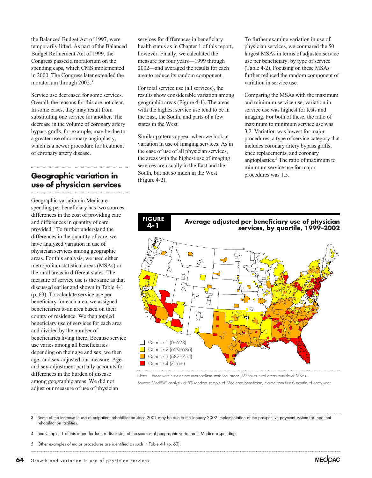the Balanced Budget Act of 1997, were temporarily lifted. As part of the Balanced Budget Refinement Act of 1999, the Congress passed a moratorium on the spending caps, which CMS implemented in 2000. The Congress later extended the moratorium through 2002.<sup>3</sup>

Service use decreased for some services. Overall, the reasons for this are not clear. In some cases, they may result from substituting one service for another. The decrease in the volume of coronary artery bypass grafts, for example, may be due to a greater use of coronary angioplasty, which is a newer procedure for treatment of coronary artery disease.

### **Geographic variation in use of physician services**

Geographic variation in Medicare spending per beneficiary has two sources: differences in the cost of providing care and differences in quantity of care provided.4 To further understand the differences in the quantity of care, we have analyzed variation in use of physician services among geographic areas. For this analysis, we used either metropolitan statistical areas (MSAs) or the rural areas in different states. The measure of service use is the same as that discussed earlier and shown in Table 4-1 (p. 63). To calculate service use per beneficiary for each area, we assigned beneficiaries to an area based on their county of residence. We then totaled beneficiary use of services for each area and divided by the number of beneficiaries living there. Because service use varies among all beneficiaries depending on their age and sex, we then age- and sex-adjusted our measure. Ageand sex-adjustment partially accounts for differences in the burden of disease among geographic areas. We did not adjust our measure of use of physician

services for differences in beneficiary health status as in Chapter 1 of this report, however. Finally, we calculated the measure for four years—1999 through 2002—and averaged the results for each area to reduce its random component.

For total service use (all services), the results show considerable variation among geographic areas (Figure 4-1). The areas with the highest service use tend to be in the East, the South, and parts of a few states in the West.

Similar patterns appear when we look at variation in use of imaging services. As in the case of use of all physician services, the areas with the highest use of imaging services are usually in the East and the South, but not so much in the West (Figure 4-2).

To further examine variation in use of physician services, we compared the 50 largest MSAs in terms of adjusted service use per beneficiary, by type of service (Table 4-2). Focusing on these MSAs further reduced the random component of variation in service use.

Comparing the MSAs with the maximum and minimum service use, variation in service use was highest for tests and imaging. For both of these, the ratio of maximum to minimum service use was 3.2. Variation was lowest for major procedures, a type of service category that includes coronary artery bypass grafts, knee replacements, and coronary angioplasties.5 The ratio of maximum to minimum service use for major procedures was 1.5.



Source: MedPAC analysis of 5% random sample of Medicare beneficiary claims from first 6 months of each year. Note: Areas within states are metropolitan statistical areas (MSAs) or rural areas outside of MSAs.

3 Some of the increase in use of outpatient rehabilitation since 2001 may be due to the January 2002 implementation of the prospective payment system for inpatient rehabilitation facilities.

- 4 See Chapter 1 of this report for further discussion of the sources of geographic variation in Medicare spending.
- 5 Other examples of major procedures are identified as such in Table 4-1 (p. 63).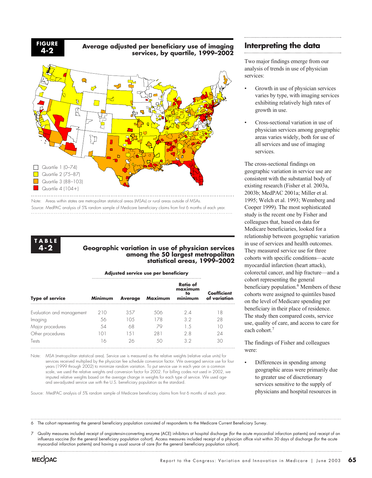**FIGURE 4-2**

**Average adjusted per beneficiary use of imaging services, by quartile, 1999–2002**



Source: MedPAC analysis of 5% random sample of Medicare beneficiary claims from first 6 months of each year.



#### **Geographic variation in use of physician services among the 50 largest metropolitan statistical areas, 1999–2002**

#### **Adjusted service use per beneficiary**

| <b>Type of service</b>    | Minimum | <b>Average</b> | <b>Maximum</b> | <b>Ratio of</b><br>maximum<br>to<br>minimum | <b>Coefficient</b><br>of variation |  |  |  |
|---------------------------|---------|----------------|----------------|---------------------------------------------|------------------------------------|--|--|--|
| Evaluation and management | 210     | 357            | 506            | 24                                          |                                    |  |  |  |
| Imaging                   |         |                | 178            | 32                                          | 28                                 |  |  |  |
| Major procedures          |         |                |                |                                             |                                    |  |  |  |
| Other procedures          |         | .5             | 281            | 2 8                                         | 24                                 |  |  |  |
| Tests                     |         |                |                | 39                                          |                                    |  |  |  |

Note: MSA (metropolitan statistical area). Service use is measured as the relative weights (relative value units) for services received multiplied by the physician fee schedule conversion factor. We averaged service use for four years (1999 through 2002) to minimize random variation. To put service use in each year on a common scale, we used the relative weights and conversion factor for 2002. For billing codes not used in 2002, we imputed relative weights based on the average change in weights for each type of service. We used ageand sex-adjusted service use with the U.S. beneficiary population as the standard.

Source: MedPAC analysis of 5% random sample of Medicare beneficiary claims from first 6 months of each year.

#### **Interpreting the data**

Two major findings emerge from our analysis of trends in use of physician services:

- Growth in use of physician services varies by type, with imaging services exhibiting relatively high rates of growth in use.
- Cross-sectional variation in use of physician services among geographic areas varies widely, both for use of all services and use of imaging services.

The cross-sectional findings on geographic variation in service use are consistent with the substantial body of existing research (Fisher et al. 2003a, 2003b; MedPAC 2001a; Miller et al. 1995; Welch et al. 1993; Wennberg and Cooper 1999). The most sophisticated study is the recent one by Fisher and colleagues that, based on data for Medicare beneficiaries, looked for a relationship between geographic variation in use of services and health outcomes. They measured service use for three cohorts with specific conditions—acute myocardial infarction (heart attack), colorectal cancer, and hip fracture—and a cohort representing the general beneficiary population.<sup>6</sup> Members of these cohorts were assigned to quintiles based on the level of Medicare spending per beneficiary in their place of residence. The study then compared costs, service use, quality of care, and access to care for each cohort.<sup>7</sup>

The findings of Fisher and colleagues were:

Differences in spending among geographic areas were primarily due to greater use of discretionary services sensitive to the supply of physicians and hospital resources in

6 The cohort representing the general beneficiary population consisted of respondents to the Medicare Current Beneficiary Survey.

7 Quality measures included receipt of angiotensin-converting enzyme (ACE) inhibitors at hospital discharge (for the acute myocardial infarction patients) and receipt of an influenza vaccine (for the general beneficiary population cohort). Access measures included receipt of a physician office visit within 30 days of discharge (for the acute myocardial infarction patients) and having a usual source of care (for the general beneficiary population cohort).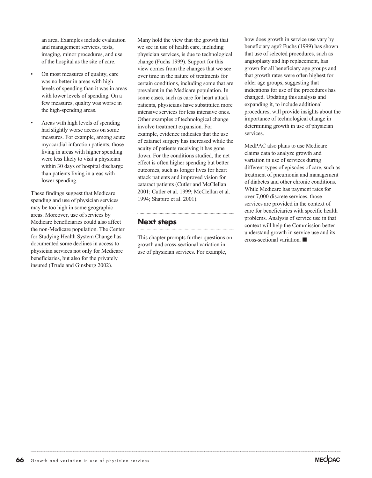an area. Examples include evaluation and management services, tests, imaging, minor procedures, and use of the hospital as the site of care.

- On most measures of quality, care was no better in areas with high levels of spending than it was in areas with lower levels of spending. On a few measures, quality was worse in the high-spending areas.
- Areas with high levels of spending had slightly worse access on some measures. For example, among acute myocardial infarction patients, those living in areas with higher spending were less likely to visit a physician within 30 days of hospital discharge than patients living in areas with lower spending.

These findings suggest that Medicare spending and use of physician services may be too high in some geographic areas. Moreover, use of services by Medicare beneficiaries could also affect the non-Medicare population. The Center for Studying Health System Change has documented some declines in access to physician services not only for Medicare beneficiaries, but also for the privately insured (Trude and Ginsburg 2002).

Many hold the view that the growth that we see in use of health care, including physician services, is due to technological change (Fuchs 1999). Support for this view comes from the changes that we see over time in the nature of treatments for certain conditions, including some that are prevalent in the Medicare population. In some cases, such as care for heart attack patients, physicians have substituted more intensive services for less intensive ones. Other examples of technological change involve treatment expansion. For example, evidence indicates that the use of cataract surgery has increased while the acuity of patients receiving it has gone down. For the conditions studied, the net effect is often higher spending but better outcomes, such as longer lives for heart attack patients and improved vision for cataract patients (Cutler and McClellan 2001; Cutler et al. 1999; McClellan et al. 1994; Shapiro et al. 2001).

#### **Next steps**

This chapter prompts further questions on growth and cross-sectional variation in use of physician services. For example,

how does growth in service use vary by beneficiary age? Fuchs (1999) has shown that use of selected procedures, such as angioplasty and hip replacement, has grown for all beneficiary age groups and that growth rates were often highest for older age groups, suggesting that indications for use of the procedures has changed. Updating this analysis and expanding it, to include additional procedures, will provide insights about the importance of technological change in determining growth in use of physician services.

MedPAC also plans to use Medicare claims data to analyze growth and variation in use of services during different types of episodes of care, such as treatment of pneumonia and management of diabetes and other chronic conditions. While Medicare has payment rates for over 7,000 discrete services, those services are provided in the context of care for beneficiaries with specific health problems. Analysis of service use in that context will help the Commission better understand growth in service use and its cross-sectional variation.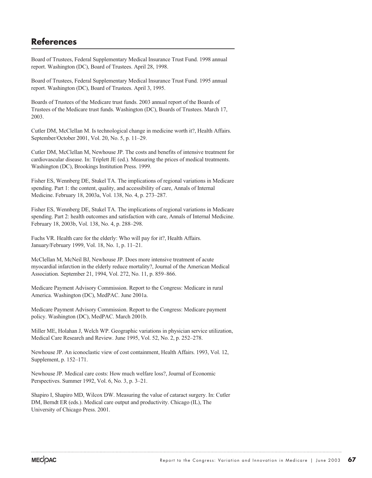## **References**

Board of Trustees, Federal Supplementary Medical Insurance Trust Fund. 1998 annual report. Washington (DC), Board of Trustees. April 28, 1998.

Board of Trustees, Federal Supplementary Medical Insurance Trust Fund. 1995 annual report. Washington (DC), Board of Trustees. April 3, 1995.

Boards of Trustees of the Medicare trust funds. 2003 annual report of the Boards of Trustees of the Medicare trust funds. Washington (DC), Boards of Trustees. March 17, 2003.

Cutler DM, McClellan M. Is technological change in medicine worth it?, Health Affairs. September/October 2001, Vol. 20, No. 5, p. 11–29.

Cutler DM, McClellan M, Newhouse JP. The costs and benefits of intensive treatment for cardiovascular disease. In: Triplett JE (ed.). Measuring the prices of medical treatments. Washington (DC), Brookings Institution Press. 1999.

Fisher ES, Wennberg DE, Stukel TA. The implications of regional variations in Medicare spending. Part 1: the content, quality, and accessibility of care, Annals of Internal Medicine. February 18, 2003a, Vol. 138, No. 4, p. 273–287.

Fisher ES, Wennberg DE, Stukel TA. The implications of regional variations in Medicare spending. Part 2: health outcomes and satisfaction with care, Annals of Internal Medicine. February 18, 2003b, Vol. 138, No. 4, p. 288–298.

Fuchs VR. Health care for the elderly: Who will pay for it?, Health Affairs. January/February 1999, Vol. 18, No. 1, p. 11–21.

McClellan M, McNeil BJ, Newhouse JP. Does more intensive treatment of acute myocardial infarction in the elderly reduce mortality?, Journal of the American Medical Association. September 21, 1994, Vol. 272, No. 11, p. 859–866.

Medicare Payment Advisory Commission. Report to the Congress: Medicare in rural America. Washington (DC), MedPAC. June 2001a.

Medicare Payment Advisory Commission. Report to the Congress: Medicare payment policy. Washington (DC), MedPAC. March 2001b.

Miller ME, Holahan J, Welch WP. Geographic variations in physician service utilization, Medical Care Research and Review. June 1995, Vol. 52, No. 2, p. 252–278.

Newhouse JP. An iconoclastic view of cost containment, Health Affairs. 1993, Vol. 12, Supplement, p. 152–171.

Newhouse JP. Medical care costs: How much welfare loss?, Journal of Economic Perspectives. Summer 1992, Vol. 6, No. 3, p. 3–21.

Shapiro I, Shapiro MD, Wilcox DW. Measuring the value of cataract surgery. In: Cutler DM, Berndt ER (eds.). Medical care output and productivity. Chicago (IL), The University of Chicago Press. 2001.